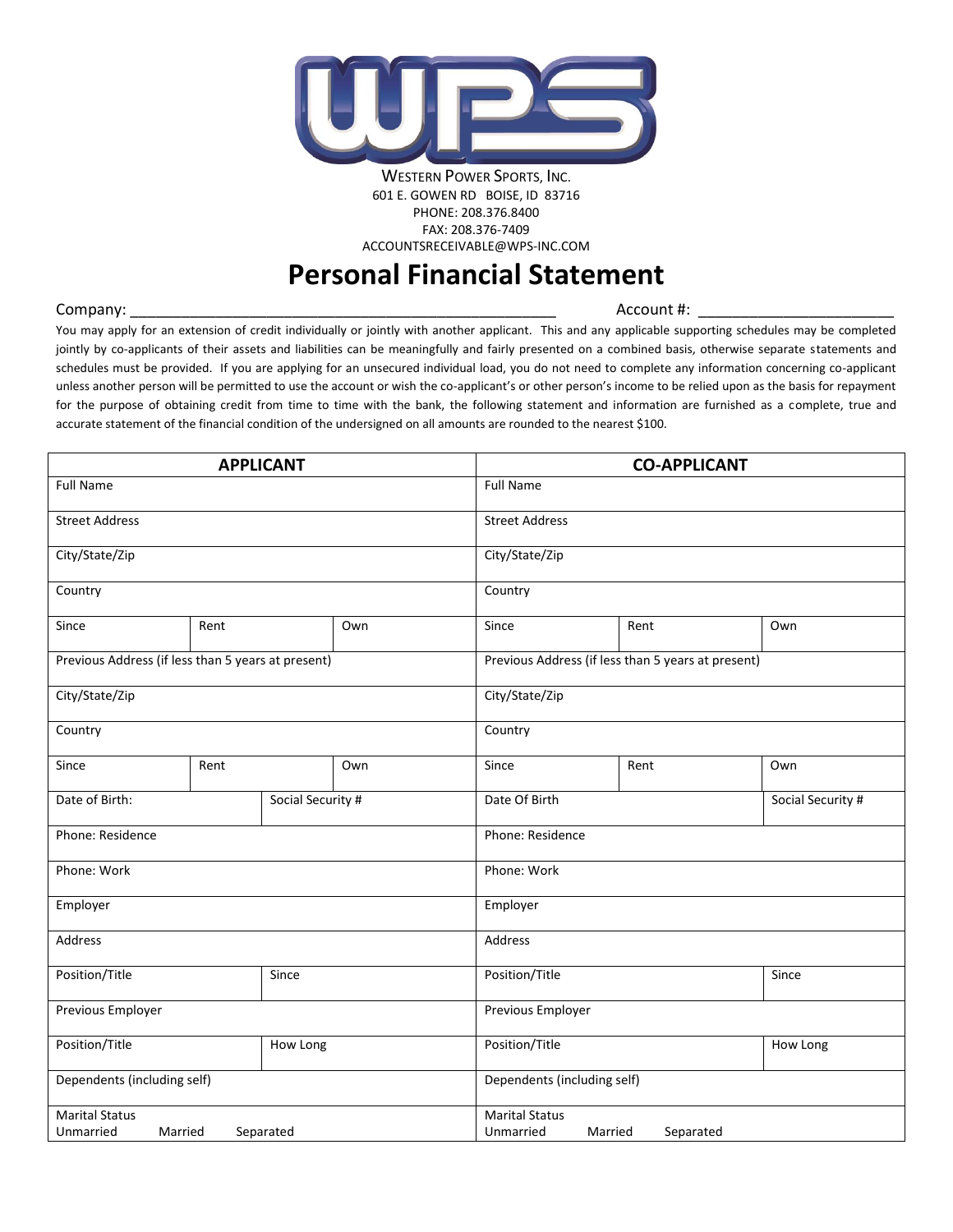

WESTERN POWER SPORTS, INC. 601 E. GOWEN RD BOISE, ID 83716 PHONE: 208.376.8400 FAX: 208.376-7409 ACCOUNTSRECEIVABLE@WPS-INC.COM

# **Personal Financial Statement**

Company: \_\_\_\_\_\_\_\_\_\_\_\_\_\_\_\_\_\_\_\_\_\_\_\_\_\_\_\_\_\_\_\_\_\_\_\_\_\_\_\_\_\_\_\_\_\_\_\_\_\_ Account #: \_\_\_\_\_\_\_\_\_\_\_\_\_\_\_\_\_\_\_\_\_\_\_

You may apply for an extension of credit individually or jointly with another applicant. This and any applicable supporting schedules may be completed jointly by co-applicants of their assets and liabilities can be meaningfully and fairly presented on a combined basis, otherwise separate statements and schedules must be provided. If you are applying for an unsecured individual load, you do not need to complete any information concerning co-applicant unless another person will be permitted to use the account or wish the co-applicant's or other person's income to be relied upon as the basis for repayment for the purpose of obtaining credit from time to time with the bank, the following statement and information are furnished as a complete, true and accurate statement of the financial condition of the undersigned on all amounts are rounded to the nearest \$100.

| <b>APPLICANT</b>                                   |                             |                   |                   | <b>CO-APPLICANT</b>                |                                                    |     |  |
|----------------------------------------------------|-----------------------------|-------------------|-------------------|------------------------------------|----------------------------------------------------|-----|--|
| <b>Full Name</b>                                   |                             |                   |                   | <b>Full Name</b>                   |                                                    |     |  |
| <b>Street Address</b>                              |                             |                   |                   | <b>Street Address</b>              |                                                    |     |  |
| City/State/Zip                                     |                             |                   |                   | City/State/Zip                     |                                                    |     |  |
| Country                                            |                             |                   | Country           |                                    |                                                    |     |  |
| Since                                              | Rent                        |                   | Own               | Since                              | Rent                                               | Own |  |
| Previous Address (if less than 5 years at present) |                             |                   |                   |                                    | Previous Address (if less than 5 years at present) |     |  |
| City/State/Zip                                     |                             |                   | City/State/Zip    |                                    |                                                    |     |  |
| Country                                            |                             | Country           |                   |                                    |                                                    |     |  |
| Since                                              | Rent                        |                   | Own               | Since                              | Rent<br>Own                                        |     |  |
| Date of Birth:<br>Social Security #                |                             | Date Of Birth     | Social Security # |                                    |                                                    |     |  |
| Phone: Residence                                   |                             |                   |                   | Phone: Residence                   |                                                    |     |  |
| Phone: Work                                        |                             |                   |                   | Phone: Work                        |                                                    |     |  |
| Employer                                           |                             |                   |                   | Employer                           |                                                    |     |  |
| <b>Address</b>                                     |                             |                   |                   | Address                            |                                                    |     |  |
| Position/Title<br>Since                            |                             | Position/Title    | Since             |                                    |                                                    |     |  |
| Previous Employer                                  |                             | Previous Employer |                   |                                    |                                                    |     |  |
| Position/Title<br>How Long                         |                             | Position/Title    | How Long          |                                    |                                                    |     |  |
|                                                    | Dependents (including self) |                   |                   |                                    | Dependents (including self)                        |     |  |
| <b>Marital Status</b><br>Unmarried<br>Married      |                             | Separated         |                   | <b>Marital Status</b><br>Unmarried | Married<br>Separated                               |     |  |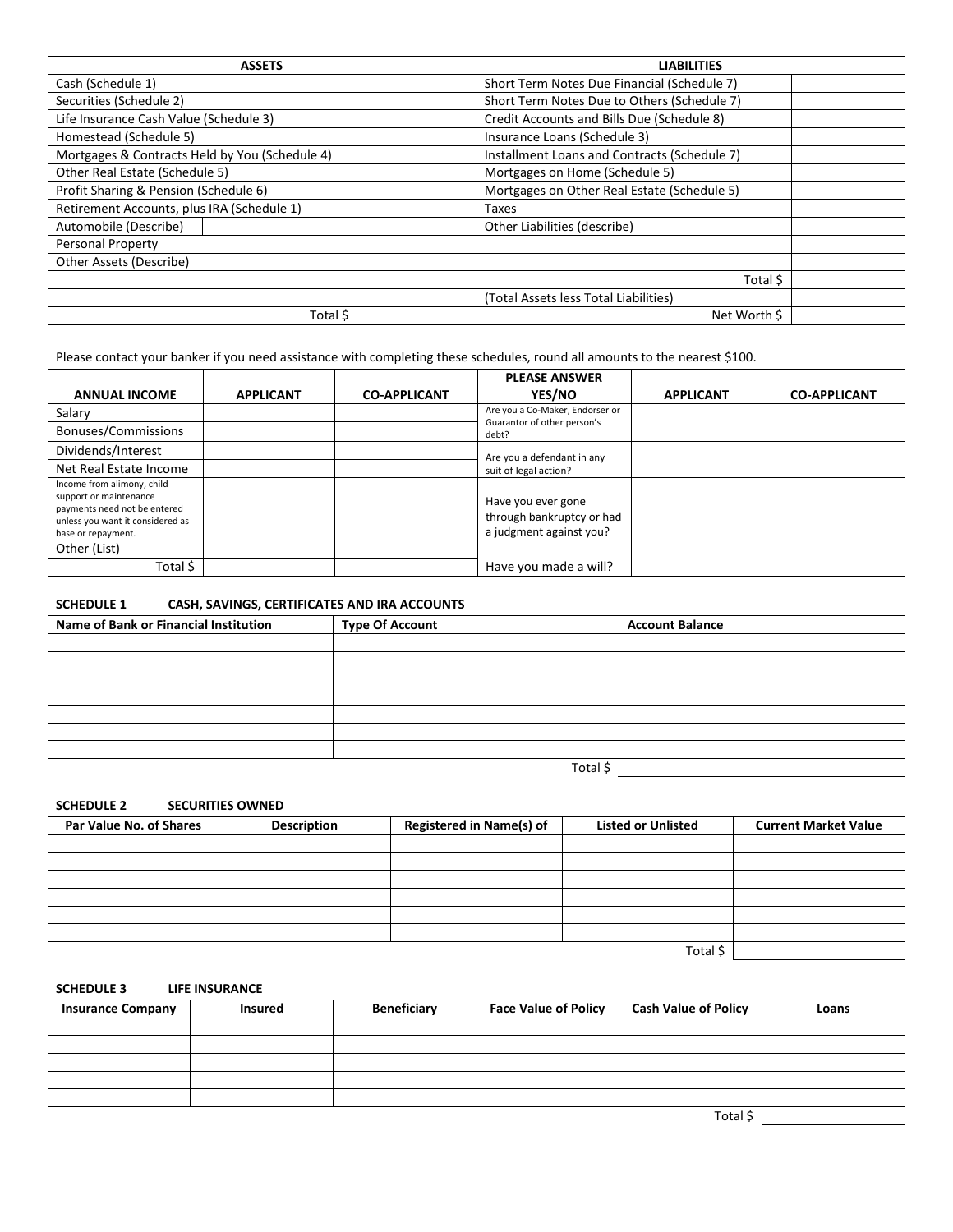| <b>ASSETS</b>                                  | <b>LIABILITIES</b>                           |  |
|------------------------------------------------|----------------------------------------------|--|
| Cash (Schedule 1)                              | Short Term Notes Due Financial (Schedule 7)  |  |
| Securities (Schedule 2)                        | Short Term Notes Due to Others (Schedule 7)  |  |
| Life Insurance Cash Value (Schedule 3)         | Credit Accounts and Bills Due (Schedule 8)   |  |
| Homestead (Schedule 5)                         | Insurance Loans (Schedule 3)                 |  |
| Mortgages & Contracts Held by You (Schedule 4) | Installment Loans and Contracts (Schedule 7) |  |
| Other Real Estate (Schedule 5)                 | Mortgages on Home (Schedule 5)               |  |
| Profit Sharing & Pension (Schedule 6)          | Mortgages on Other Real Estate (Schedule 5)  |  |
| Retirement Accounts, plus IRA (Schedule 1)     | Taxes                                        |  |
| Automobile (Describe)                          | Other Liabilities (describe)                 |  |
| Personal Property                              |                                              |  |
| Other Assets (Describe)                        |                                              |  |
|                                                | Total \$                                     |  |
|                                                | (Total Assets less Total Liabilities)        |  |
| Total \$                                       | Net Worth \$                                 |  |

Please contact your banker if you need assistance with completing these schedules, round all amounts to the nearest \$100.

| <b>ANNUAL INCOME</b>                                                                                                                           | <b>APPLICANT</b> | <b>CO-APPLICANT</b> | <b>PLEASE ANSWER</b><br>YES/NO                                             | <b>APPLICANT</b> | <b>CO-APPLICANT</b> |
|------------------------------------------------------------------------------------------------------------------------------------------------|------------------|---------------------|----------------------------------------------------------------------------|------------------|---------------------|
| Salary<br>Bonuses/Commissions                                                                                                                  |                  |                     | Are you a Co-Maker, Endorser or<br>Guarantor of other person's<br>debt?    |                  |                     |
| Dividends/Interest<br>Net Real Estate Income                                                                                                   |                  |                     | Are you a defendant in any<br>suit of legal action?                        |                  |                     |
| Income from alimony, child<br>support or maintenance<br>payments need not be entered<br>unless you want it considered as<br>base or repayment. |                  |                     | Have you ever gone<br>through bankruptcy or had<br>a judgment against you? |                  |                     |
| Other (List)<br>Total \$                                                                                                                       |                  |                     | Have you made a will?                                                      |                  |                     |

**SCHEDULE 1 CASH, SAVINGS, CERTIFICATES AND IRA ACCOUNTS**

| Name of Bank or Financial Institution | <b>Type Of Account</b> | <b>Account Balance</b> |
|---------------------------------------|------------------------|------------------------|
|                                       |                        |                        |
|                                       |                        |                        |
|                                       |                        |                        |
|                                       |                        |                        |
|                                       |                        |                        |
|                                       |                        |                        |
|                                       |                        |                        |
|                                       | Total \$               |                        |

**SCHEDULE 2 SECURITIES OWNED**

| Par Value No. of Shares | <b>Description</b> | <b>Registered in Name(s) of</b> | <b>Listed or Unlisted</b> | <b>Current Market Value</b> |
|-------------------------|--------------------|---------------------------------|---------------------------|-----------------------------|
|                         |                    |                                 |                           |                             |
|                         |                    |                                 |                           |                             |
|                         |                    |                                 |                           |                             |
|                         |                    |                                 |                           |                             |
|                         |                    |                                 |                           |                             |
|                         |                    |                                 |                           |                             |
|                         |                    |                                 |                           |                             |
|                         |                    |                                 | Total \$                  |                             |

### **SCHEDULE 3 LIFE INSURANCE**

| <b>Insurance Company</b> | <b>Insured</b> | Beneficiary | <b>Face Value of Policy</b> | <b>Cash Value of Policy</b> | Loans |
|--------------------------|----------------|-------------|-----------------------------|-----------------------------|-------|
|                          |                |             |                             |                             |       |
|                          |                |             |                             |                             |       |
|                          |                |             |                             |                             |       |
|                          |                |             |                             |                             |       |
|                          |                |             |                             |                             |       |
|                          |                |             |                             | Total \$                    |       |